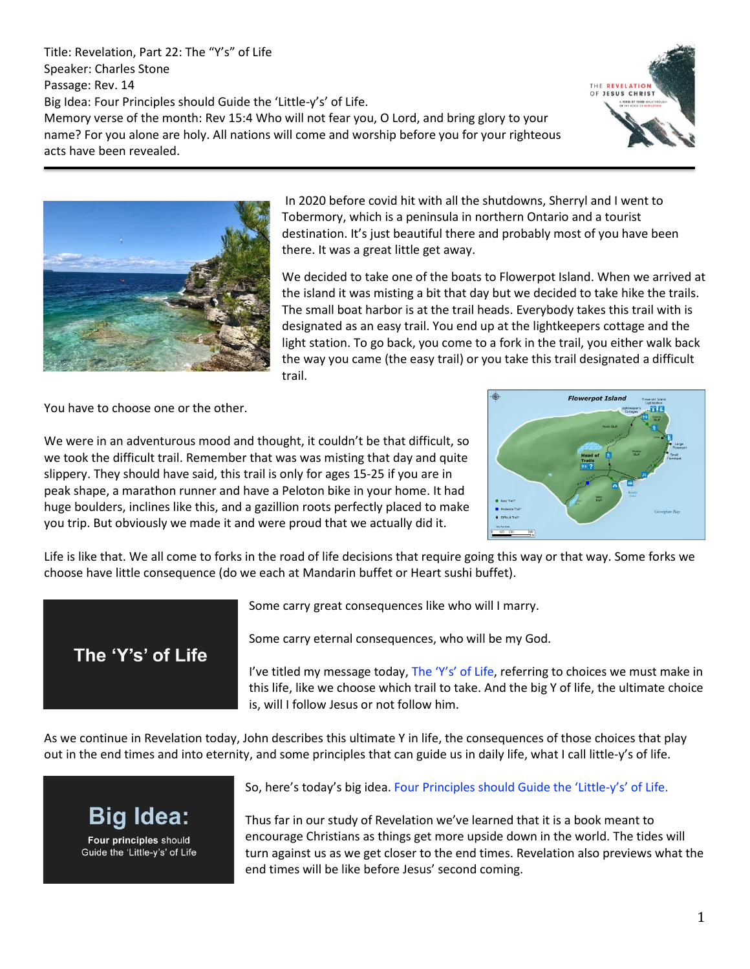Title: Revelation, Part 22: The "Y's" of Life Speaker: Charles Stone Passage: Rev. 14 Big Idea: Four Principles should Guide the 'Little-y's' of Life. Memory verse of the month: Rev 15:4 Who will not fear you, O Lord, and bring glory to your name? For you alone are holy. All nations will come and worship before you for your righteous acts have been revealed.





In 2020 before covid hit with all the shutdowns, Sherryl and I went to Tobermory, which is a peninsula in northern Ontario and a tourist destination. It's just beautiful there and probably most of you have been there. It was a great little get away.

We decided to take one of the boats to Flowerpot Island. When we arrived at the island it was misting a bit that day but we decided to take hike the trails. The small boat harbor is at the trail heads. Everybody takes this trail with is designated as an easy trail. You end up at the lightkeepers cottage and the light station. To go back, you come to a fork in the trail, you either walk back the way you came (the easy trail) or you take this trail designated a difficult trail.

You have to choose one or the other.

We were in an adventurous mood and thought, it couldn't be that difficult, so we took the difficult trail. Remember that was was misting that day and quite slippery. They should have said, this trail is only for ages 15-25 if you are in peak shape, a marathon runner and have a Peloton bike in your home. It had huge boulders, inclines like this, and a gazillion roots perfectly placed to make you trip. But obviously we made it and were proud that we actually did it.



Life is like that. We all come to forks in the road of life decisions that require going this way or that way. Some forks we choose have little consequence (do we each at Mandarin buffet or Heart sushi buffet).



Some carry great consequences like who will I marry.

Some carry eternal consequences, who will be my God.

I've titled my message today, The 'Y's' of Life, referring to choices we must make in this life, like we choose which trail to take. And the big Y of life, the ultimate choice is, will I follow Jesus or not follow him.

As we continue in Revelation today, John describes this ultimate Y in life, the consequences of those choices that play out in the end times and into eternity, and some principles that can guide us in daily life, what I call little-y's of life.



So, here's today's big idea. Four Principles should Guide the 'Little-y's' of Life.

Thus far in our study of Revelation we've learned that it is a book meant to encourage Christians as things get more upside down in the world. The tides will turn against us as we get closer to the end times. Revelation also previews what the end times will be like before Jesus' second coming.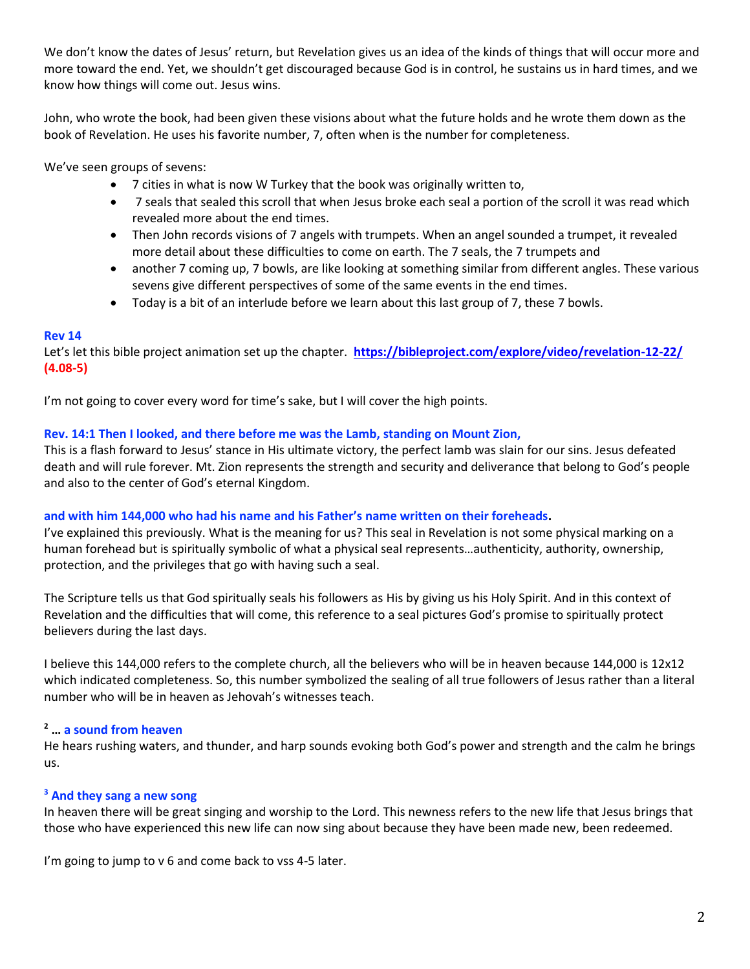We don't know the dates of Jesus' return, but Revelation gives us an idea of the kinds of things that will occur more and more toward the end. Yet, we shouldn't get discouraged because God is in control, he sustains us in hard times, and we know how things will come out. Jesus wins.

John, who wrote the book, had been given these visions about what the future holds and he wrote them down as the book of Revelation. He uses his favorite number, 7, often when is the number for completeness.

We've seen groups of sevens:

- 7 cities in what is now W Turkey that the book was originally written to,
- 7 seals that sealed this scroll that when Jesus broke each seal a portion of the scroll it was read which revealed more about the end times.
- Then John records visions of 7 angels with trumpets. When an angel sounded a trumpet, it revealed more detail about these difficulties to come on earth. The 7 seals, the 7 trumpets and
- another 7 coming up, 7 bowls, are like looking at something similar from different angles. These various sevens give different perspectives of some of the same events in the end times.
- Today is a bit of an interlude before we learn about this last group of 7, these 7 bowls.

## **Rev 14**

Let's let this bible project animation set up the chapter. **<https://bibleproject.com/explore/video/revelation-12-22/> (4.08-5)**

I'm not going to cover every word for time's sake, but I will cover the high points.

## **Rev. 14:1 Then I looked, and there before me was the Lamb, standing on Mount Zion,**

This is a flash forward to Jesus' stance in His ultimate victory, the perfect lamb was slain for our sins. Jesus defeated death and will rule forever. Mt. Zion represents the strength and security and deliverance that belong to God's people and also to the center of God's eternal Kingdom.

## **and with him 144,000 who had his name and his Father's name written on their foreheads.**

I've explained this previously. What is the meaning for us? This seal in Revelation is not some physical marking on a human forehead but is spiritually symbolic of what a physical seal represents…authenticity, authority, ownership, protection, and the privileges that go with having such a seal.

The Scripture tells us that God spiritually seals his followers as His by giving us his Holy Spirit. And in this context of Revelation and the difficulties that will come, this reference to a seal pictures God's promise to spiritually protect believers during the last days.

I believe this 144,000 refers to the complete church, all the believers who will be in heaven because 144,000 is 12x12 which indicated completeness. So, this number symbolized the sealing of all true followers of Jesus rather than a literal number who will be in heaven as Jehovah's witnesses teach.

## **<sup>2</sup> … a sound from heaven**

He hears rushing waters, and thunder, and harp sounds evoking both God's power and strength and the calm he brings us.

# **<sup>3</sup> And they sang a new song**

In heaven there will be great singing and worship to the Lord. This newness refers to the new life that Jesus brings that those who have experienced this new life can now sing about because they have been made new, been redeemed.

I'm going to jump to v 6 and come back to vss 4-5 later.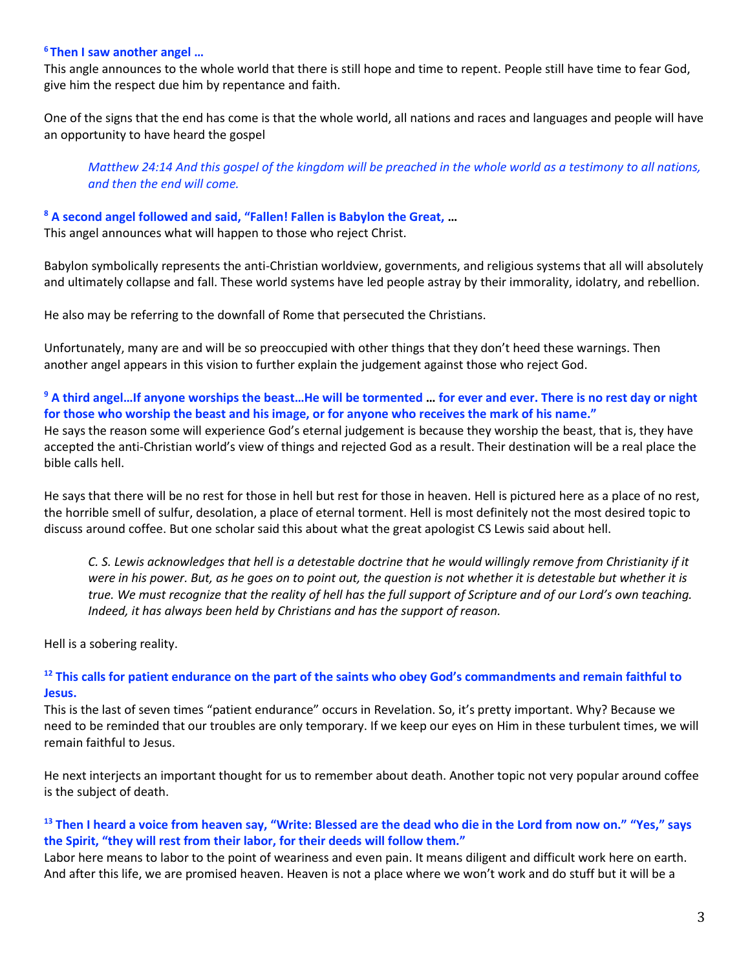### **<sup>6</sup>Then I saw another angel …**

This angle announces to the whole world that there is still hope and time to repent. People still have time to fear God, give him the respect due him by repentance and faith.

One of the signs that the end has come is that the whole world, all nations and races and languages and people will have an opportunity to have heard the gospel

*Matthew 24:14 And this gospel of the kingdom will be preached in the whole world as a testimony to all nations, and then the end will come.*

### **<sup>8</sup> A second angel followed and said, "Fallen! Fallen is Babylon the Great, …**

This angel announces what will happen to those who reject Christ.

Babylon symbolically represents the anti-Christian worldview, governments, and religious systems that all will absolutely and ultimately collapse and fall. These world systems have led people astray by their immorality, idolatry, and rebellion.

He also may be referring to the downfall of Rome that persecuted the Christians.

Unfortunately, many are and will be so preoccupied with other things that they don't heed these warnings. Then another angel appears in this vision to further explain the judgement against those who reject God.

## **<sup>9</sup> A third angel…If anyone worships the beast…He will be tormented … for ever and ever. There is no rest day or night for those who worship the beast and his image, or for anyone who receives the mark of his name."**

He says the reason some will experience God's eternal judgement is because they worship the beast, that is, they have accepted the anti-Christian world's view of things and rejected God as a result. Their destination will be a real place the bible calls hell.

He says that there will be no rest for those in hell but rest for those in heaven. Hell is pictured here as a place of no rest, the horrible smell of sulfur, desolation, a place of eternal torment. Hell is most definitely not the most desired topic to discuss around coffee. But one scholar said this about what the great apologist CS Lewis said about hell.

*C. S. Lewis acknowledges that hell is a detestable doctrine that he would willingly remove from Christianity if it were in his power. But, as he goes on to point out, the question is not whether it is detestable but whether it is true. We must recognize that the reality of hell has the full support of Scripture and of our Lord's own teaching. Indeed, it has always been held by Christians and has the support of reason.*

Hell is a sobering reality.

## **<sup>12</sup> This calls for patient endurance on the part of the saints who obey God's commandments and remain faithful to Jesus.**

This is the last of seven times "patient endurance" occurs in Revelation. So, it's pretty important. Why? Because we need to be reminded that our troubles are only temporary. If we keep our eyes on Him in these turbulent times, we will remain faithful to Jesus.

He next interjects an important thought for us to remember about death. Another topic not very popular around coffee is the subject of death.

# **<sup>13</sup> Then I heard a voice from heaven say, "Write: Blessed are the dead who die in the Lord from now on." "Yes," says the Spirit, "they will rest from their labor, for their deeds will follow them."**

Labor here means to labor to the point of weariness and even pain. It means diligent and difficult work here on earth. And after this life, we are promised heaven. Heaven is not a place where we won't work and do stuff but it will be a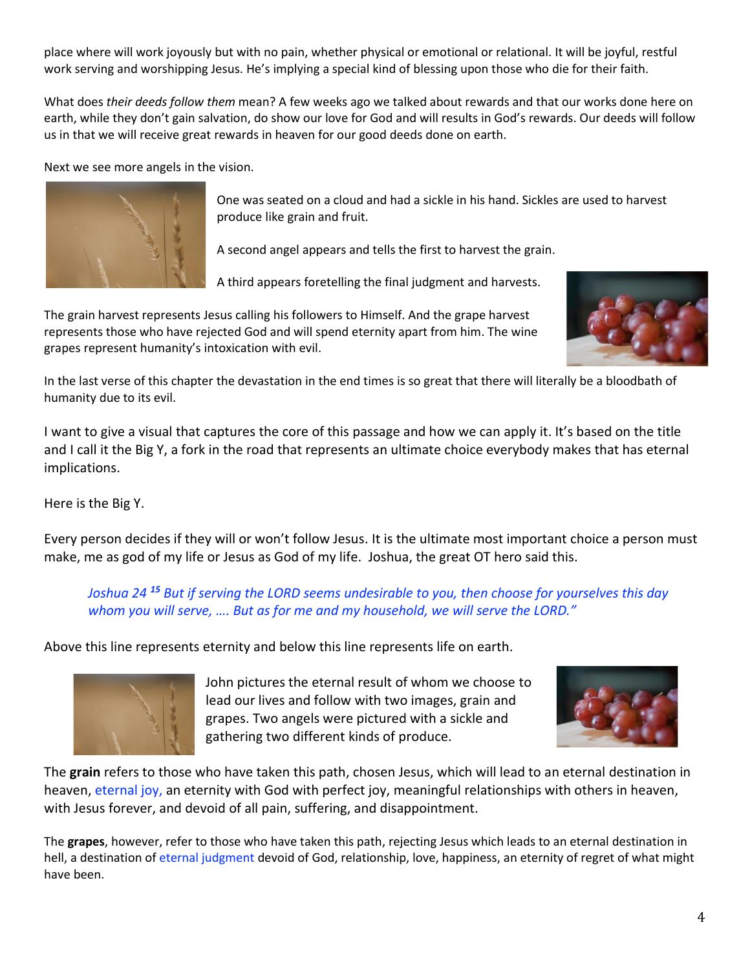place where will work joyously but with no pain, whether physical or emotional or relational. It will be joyful, restful work serving and worshipping Jesus. He's implying a special kind of blessing upon those who die for their faith.

What does *their deeds follow them* mean? A few weeks ago we talked about rewards and that our works done here on earth, while they don't gain salvation, do show our love for God and will results in God's rewards. Our deeds will follow us in that we will receive great rewards in heaven for our good deeds done on earth.

Next we see more angels in the vision.



One was seated on a cloud and had a sickle in his hand. Sickles are used to harvest produce like grain and fruit.

A second angel appears and tells the first to harvest the grain.

A third appears foretelling the final judgment and harvests.

The grain harvest represents Jesus calling his followers to Himself. And the grape harvest represents those who have rejected God and will spend eternity apart from him. The wine grapes represent humanity's intoxication with evil.



In the last verse of this chapter the devastation in the end times is so great that there will literally be a bloodbath of humanity due to its evil.

I want to give a visual that captures the core of this passage and how we can apply it. It's based on the title and I call it the Big Y, a fork in the road that represents an ultimate choice everybody makes that has eternal implications.

Here is the Big Y.

Every person decides if they will or won't follow Jesus. It is the ultimate most important choice a person must make, me as god of my life or Jesus as God of my life. Joshua, the great OT hero said this.

*Joshua 24 <sup>15</sup> But if serving the LORD seems undesirable to you, then choose for yourselves this day whom you will serve, …. But as for me and my household, we will serve the LORD."*

Above this line represents eternity and below this line represents life on earth.



John pictures the eternal result of whom we choose to lead our lives and follow with two images, grain and grapes. Two angels were pictured with a sickle and gathering two different kinds of produce.



The **grain** refers to those who have taken this path, chosen Jesus, which will lead to an eternal destination in heaven, eternal joy, an eternity with God with perfect joy, meaningful relationships with others in heaven, with Jesus forever, and devoid of all pain, suffering, and disappointment.

The **grapes**, however, refer to those who have taken this path, rejecting Jesus which leads to an eternal destination in hell, a destination of eternal judgment devoid of God, relationship, love, happiness, an eternity of regret of what might have been.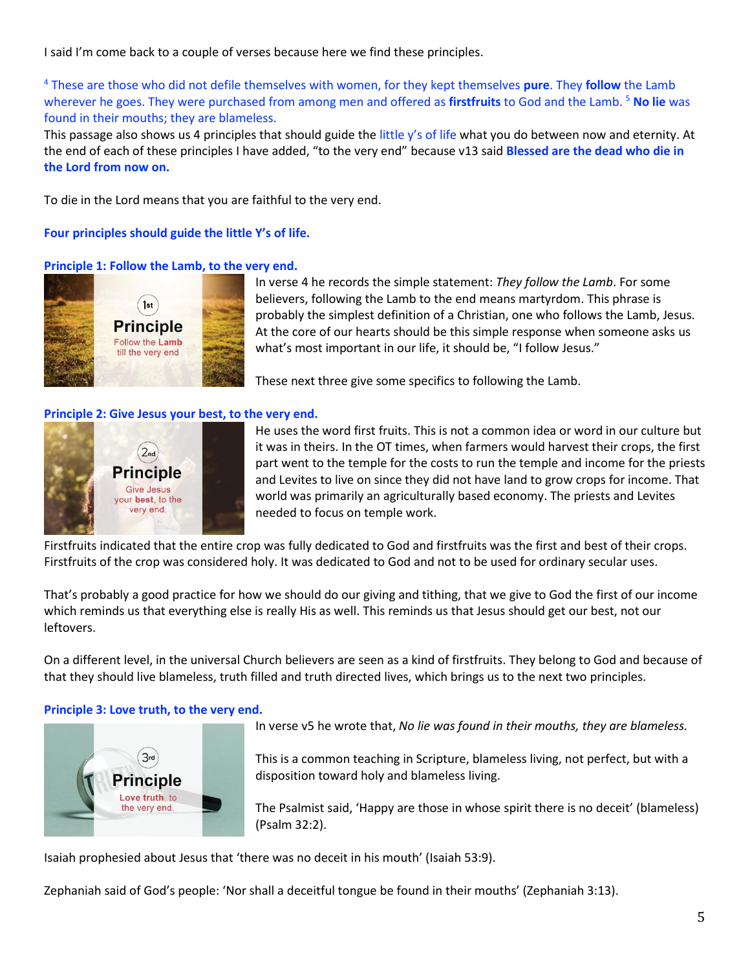I said I'm come back to a couple of verses because here we find these principles.

<sup>4</sup> These are those who did not defile themselves with women, for they kept themselves **pure**. They **follow** the Lamb wherever he goes. They were purchased from among men and offered as **firstfruits** to God and the Lamb. <sup>5</sup> **No lie** was found in their mouths; they are blameless.

This passage also shows us 4 principles that should guide the little y's of life what you do between now and eternity. At the end of each of these principles I have added, "to the very end" because v13 said **Blessed are the dead who die in the Lord from now on.**

To die in the Lord means that you are faithful to the very end.

## **Four principles should guide the little Y's of life.**

## **Principle 1: Follow the Lamb, to the very end.**



In verse 4 he records the simple statement: *They follow the Lamb*. For some believers, following the Lamb to the end means martyrdom. This phrase is probably the simplest definition of a Christian, one who follows the Lamb, Jesus. At the core of our hearts should be this simple response when someone asks us what's most important in our life, it should be, "I follow Jesus."

These next three give some specifics to following the Lamb.

#### **Principle 2: Give Jesus your best, to the very end.**



He uses the word first fruits. This is not a common idea or word in our culture but it was in theirs. In the OT times, when farmers would harvest their crops, the first part went to the temple for the costs to run the temple and income for the priests and Levites to live on since they did not have land to grow crops for income. That world was primarily an agriculturally based economy. The priests and Levites needed to focus on temple work.

Firstfruits indicated that the entire crop was fully dedicated to God and firstfruits was the first and best of their crops. Firstfruits of the crop was considered holy. It was dedicated to God and not to be used for ordinary secular uses.

That's probably a good practice for how we should do our giving and tithing, that we give to God the first of our income which reminds us that everything else is really His as well. This reminds us that Jesus should get our best, not our leftovers.

On a different level, in the universal Church believers are seen as a kind of firstfruits. They belong to God and because of that they should live blameless, truth filled and truth directed lives, which brings us to the next two principles.

#### **Principle 3: Love truth, to the very end.**



In verse v5 he wrote that, *No lie was found in their mouths, they are blameless.*

This is a common teaching in Scripture, blameless living, not perfect, but with a disposition toward holy and blameless living.

The Psalmist said, 'Happy are those in whose spirit there is no deceit' (blameless) (Psalm 32:2).

Isaiah prophesied about Jesus that 'there was no deceit in his mouth' (Isaiah 53:9).

Zephaniah said of God's people: 'Nor shall a deceitful tongue be found in their mouths' (Zephaniah 3:13).